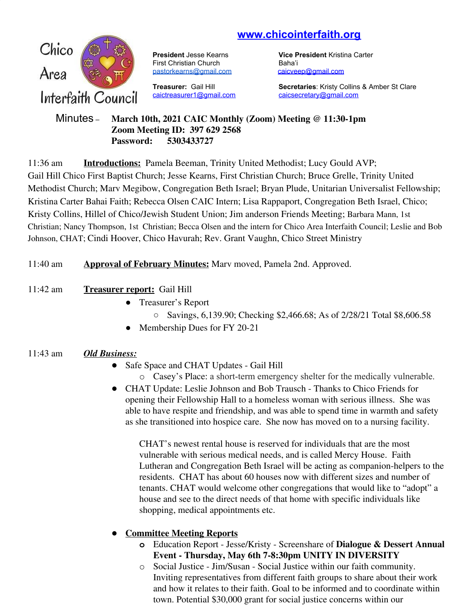# **www.chicointerfaith.org**



First Christian Church Baha'i [pastorkearns@gmail.com](mailto:pastorkearns@gmail.com) [caicveep@gmail.com](mailto:caicveep@gmail.com)

[caictreasurer1@gmail.com](mailto:caictreasurer1@gmail.com) [caicsecretary@gmail.com](mailto:caicsecretary@gmail.com)

**President** Jesse Kearns **Vice President** Kristina Carter

**Treasurer:** Gail Hill **Secretaries**: Kristy Collins & Amber St Clare

### Minutes – **March 10th, 2021 CAIC Monthly (Zoom) Meeting @ 11:30-1pm Zoom Meeting ID: 397 629 2568 Password: 5303433727**

11:36 am **Introductions:** Pamela Beeman, Trinity United Methodist; Lucy Gould AVP; Gail Hill Chico First Baptist Church; Jesse Kearns, First Christian Church; Bruce Grelle, Trinity United Methodist Church; Marv Megibow, Congregation Beth Israel; Bryan Plude, Unitarian Universalist Fellowship; Kristina Carter Bahai Faith; Rebecca Olsen CAIC Intern; Lisa Rappaport, Congregation Beth Israel, Chico; Kristy Collins, Hillel of Chico/Jewish Student Union; Jim anderson Friends Meeting; Barbara Mann, 1st Christian; Nancy Thompson, 1st Christian; Becca Olsen and the intern for Chico Area Interfaith Council; Leslie and Bob Johnson, CHAT; Cindi Hoover, Chico Havurah; Rev. Grant Vaughn, Chico Street Ministry

# 11:40 am **Approval of February Minutes:** Marv moved, Pamela 2nd. Approved.

# 11:42 am **Treasurer report:** Gail Hill

- Treasurer's Report
	- Savings, 6,139.90; Checking \$2,466.68; As of 2/28/21 Total \$8,606.58
- Membership Dues for FY 20-21

# 11:43 am *Old Business:*

- Safe Space and CHAT Updates Gail Hill
	- o Casey's Place: a short-term emergency shelter for the medically vulnerable.
- CHAT Update: Leslie Johnson and Bob Trausch Thanks to Chico Friends for opening their Fellowship Hall to a homeless woman with serious illness. She was able to have respite and friendship, and was able to spend time in warmth and safety as she transitioned into hospice care. She now has moved on to a nursing facility.

CHAT's newest rental house is reserved for individuals that are the most vulnerable with serious medical needs, and is called Mercy House. Faith Lutheran and Congregation Beth Israel will be acting as companion-helpers to the residents. CHAT has about 60 houses now with different sizes and number of tenants. CHAT would welcome other congregations that would like to "adopt" a house and see to the direct needs of that home with specific individuals like shopping, medical appointments etc.

# ● **Committee Meeting Reports**

- **o** Education Report Jesse/Kristy Screenshare of **Dialogue & Dessert Annual Event - Thursday, May 6th 7-8:30pm UNITY IN DIVERSITY**
- o Social Justice Jim/Susan Social Justice within our faith community. Inviting representatives from different faith groups to share about their work and how it relates to their faith. Goal to be informed and to coordinate within town. Potential \$30,000 grant for social justice concerns within our